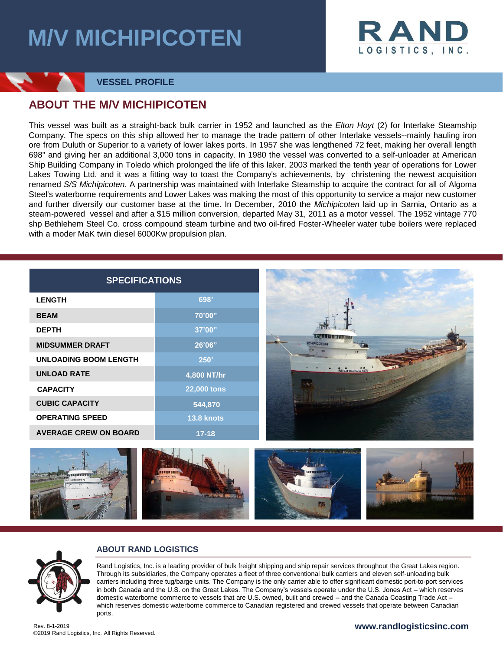# **M/V MICHIPICOTEN**



### **VESSEL PROFILE**

### **ABOUT THE M/V MICHIPICOTEN**

This vessel was built as a straight-back bulk carrier in 1952 and launched as the *Elton Hoyt* (2) for Interlake Steamship Company. The specs on this ship allowed her to manage the trade pattern of other Interlake vessels--mainly hauling iron ore from Duluth or Superior to a variety of lower lakes ports. In 1957 she was lengthened 72 feet, making her overall length 698" and giving her an additional 3,000 tons in capacity. In 1980 the vessel was converted to a self-unloader at American Ship Building Company in Toledo which prolonged the life of this laker. 2003 marked the tenth year of operations for Lower Lakes Towing Ltd. and it was a fitting way to toast the Company's achievements, by christening the newest acquisition renamed *S/S Michipicoten*. A partnership was maintained with Interlake Steamship to acquire the contract for all of Algoma Steel's waterborne requirements and Lower Lakes was making the most of this opportunity to service a major new customer and further diversify our customer base at the time. In December, 2010 the *Michipicoten* laid up in Sarnia, Ontario as a steam-powered vessel and after a \$15 million conversion, departed May 31, 2011 as a motor vessel. The 1952 vintage 770 shp Bethlehem Steel Co. cross compound steam turbine and two oil-fired Foster-Wheeler water tube boilers were replaced with a moder MaK twin diesel 6000Kw propulsion plan.

| <b>SPECIFICATIONS</b>        |                    |                                                                                                                                                                                                                                                                                                                                                                                                                                                                                                                                                                                                                                                                                                                                                                             |
|------------------------------|--------------------|-----------------------------------------------------------------------------------------------------------------------------------------------------------------------------------------------------------------------------------------------------------------------------------------------------------------------------------------------------------------------------------------------------------------------------------------------------------------------------------------------------------------------------------------------------------------------------------------------------------------------------------------------------------------------------------------------------------------------------------------------------------------------------|
| <b>LENGTH</b>                | 698'               |                                                                                                                                                                                                                                                                                                                                                                                                                                                                                                                                                                                                                                                                                                                                                                             |
| <b>BEAM</b>                  | 70'00"             | SATI DI INTI                                                                                                                                                                                                                                                                                                                                                                                                                                                                                                                                                                                                                                                                                                                                                                |
| <b>DEPTH</b>                 | 37'00"             |                                                                                                                                                                                                                                                                                                                                                                                                                                                                                                                                                                                                                                                                                                                                                                             |
| <b>MIDSUMMER DRAFT</b>       | 26'06"             |                                                                                                                                                                                                                                                                                                                                                                                                                                                                                                                                                                                                                                                                                                                                                                             |
| <b>UNLOADING BOOM LENGTH</b> | 250'               |                                                                                                                                                                                                                                                                                                                                                                                                                                                                                                                                                                                                                                                                                                                                                                             |
| <b>UNLOAD RATE</b>           | 4,800 NT/hr        | MICHIPICOTER                                                                                                                                                                                                                                                                                                                                                                                                                                                                                                                                                                                                                                                                                                                                                                |
| <b>CAPACITY</b>              | <b>22,000 tons</b> |                                                                                                                                                                                                                                                                                                                                                                                                                                                                                                                                                                                                                                                                                                                                                                             |
| <b>CUBIC CAPACITY</b>        | 544,870            |                                                                                                                                                                                                                                                                                                                                                                                                                                                                                                                                                                                                                                                                                                                                                                             |
| <b>OPERATING SPEED</b>       | <b>13.8 knots</b>  |                                                                                                                                                                                                                                                                                                                                                                                                                                                                                                                                                                                                                                                                                                                                                                             |
| <b>AVERAGE CREW ON BOARD</b> | $17 - 18$          |                                                                                                                                                                                                                                                                                                                                                                                                                                                                                                                                                                                                                                                                                                                                                                             |
|                              |                    |                                                                                                                                                                                                                                                                                                                                                                                                                                                                                                                                                                                                                                                                                                                                                                             |
| <b>ABOUT RAND LOGISTICS</b>  |                    |                                                                                                                                                                                                                                                                                                                                                                                                                                                                                                                                                                                                                                                                                                                                                                             |
| ports.                       |                    | Rand Logistics, Inc. is a leading provider of bulk freight shipping and ship repair services throughout the Great Lakes region.<br>Through its subsidiaries, the Company operates a fleet of three conventional bulk carriers and eleven self-unloading bulk<br>carriers including three tug/barge units. The Company is the only carrier able to offer significant domestic port-to-port services<br>in both Canada and the U.S. on the Great Lakes. The Company's vessels operate under the U.S. Jones Act – which reserves<br>domestic waterborne commerce to vessels that are U.S. owned, built and crewed - and the Canada Coasting Trade Act -<br>which reserves domestic waterborne commerce to Canadian registered and crewed vessels that operate between Canadian |
| Rev. 8-1-2019                |                    | www.randlogisticsinc.com                                                                                                                                                                                                                                                                                                                                                                                                                                                                                                                                                                                                                                                                                                                                                    |





#### **ABOUT RAND LOGISTICS**